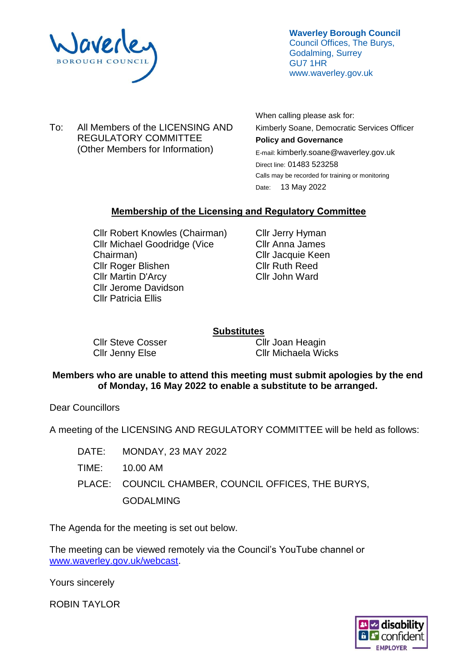

**Waverley Borough Council** Council Offices, The Burys, Godalming, Surrey GU7 1HR www.waverley.gov.uk

To: All Members of the LICENSING AND REGULATORY COMMITTEE (Other Members for Information)

When calling please ask for: Kimberly Soane, Democratic Services Officer **Policy and Governance**  E-mail: kimberly.soane@waverley.gov.uk Direct line: 01483 523258 Calls may be recorded for training or monitoring Date: 13 May 2022

# **Membership of the Licensing and Regulatory Committee**

Cllr Robert Knowles (Chairman) Cllr Michael Goodridge (Vice Chairman) Cllr Roger Blishen Cllr Martin D'Arcy Cllr Jerome Davidson Cllr Patricia Ellis

Cllr Jerry Hyman Cllr Anna James Cllr Jacquie Keen Cllr Ruth Reed Cllr John Ward

# **Substitutes**

Cllr Steve Cosser Cllr Jenny Else

Cllr Joan Heagin Cllr Michaela Wicks

### **Members who are unable to attend this meeting must submit apologies by the end of Monday, 16 May 2022 to enable a substitute to be arranged.**

Dear Councillors

A meeting of the LICENSING AND REGULATORY COMMITTEE will be held as follows:

DATE: MONDAY, 23 MAY 2022 TIME: 10.00 AM PLACE: COUNCIL CHAMBER, COUNCIL OFFICES, THE BURYS, GODALMING

The Agenda for the meeting is set out below.

The meeting can be viewed remotely via the Council's YouTube channel or [www.waverley.gov.uk/webcast.](http://www.waverley.gov.uk/webcast)

Yours sincerely

ROBIN TAYLOR

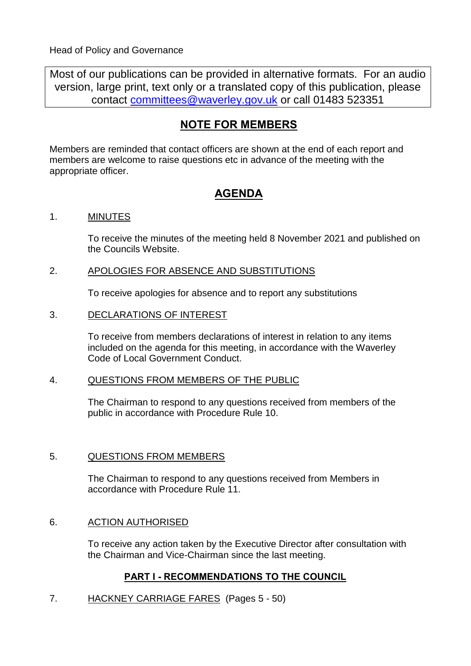Most of our publications can be provided in alternative formats. For an audio version, large print, text only or a translated copy of this publication, please contact [committees@waverley.gov.uk](mailto:committees@waverley.gov.uk) or call 01483 523351

# **NOTE FOR MEMBERS**

Members are reminded that contact officers are shown at the end of each report and members are welcome to raise questions etc in advance of the meeting with the appropriate officer.

# **AGENDA**

# 1. MINUTES

To receive the minutes of the meeting held 8 November 2021 and published on the Councils Website.

# 2. APOLOGIES FOR ABSENCE AND SUBSTITUTIONS

To receive apologies for absence and to report any substitutions

## 3. DECLARATIONS OF INTEREST

To receive from members declarations of interest in relation to any items included on the agenda for this meeting, in accordance with the Waverley Code of Local Government Conduct.

# 4. QUESTIONS FROM MEMBERS OF THE PUBLIC

The Chairman to respond to any questions received from members of the public in accordance with Procedure Rule 10.

# 5. QUESTIONS FROM MEMBERS

The Chairman to respond to any questions received from Members in accordance with Procedure Rule 11.

# 6. ACTION AUTHORISED

To receive any action taken by the Executive Director after consultation with the Chairman and Vice-Chairman since the last meeting.

# **PART I - RECOMMENDATIONS TO THE COUNCIL**

# 7. HACKNEY CARRIAGE FARES (Pages 5 - 50)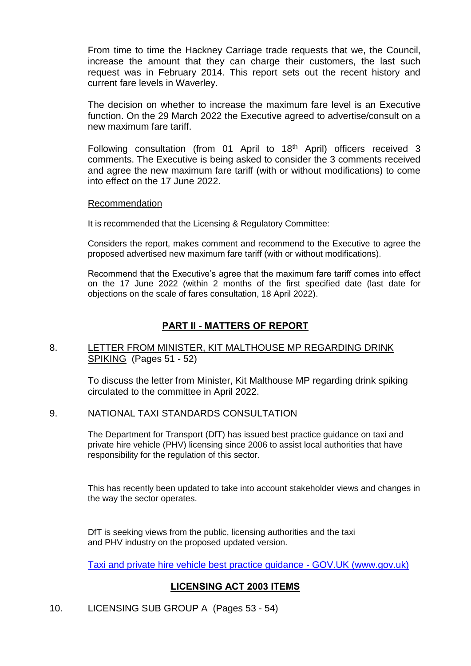From time to time the Hackney Carriage trade requests that we, the Council, increase the amount that they can charge their customers, the last such request was in February 2014. This report sets out the recent history and current fare levels in Waverley.

The decision on whether to increase the maximum fare level is an Executive function. On the 29 March 2022 the Executive agreed to advertise/consult on a new maximum fare tariff.

Following consultation (from 01 April to 18<sup>th</sup> April) officers received 3 comments. The Executive is being asked to consider the 3 comments received and agree the new maximum fare tariff (with or without modifications) to come into effect on the 17 June 2022.

#### Recommendation

It is recommended that the Licensing & Regulatory Committee:

Considers the report, makes comment and recommend to the Executive to agree the proposed advertised new maximum fare tariff (with or without modifications).

Recommend that the Executive's agree that the maximum fare tariff comes into effect on the 17 June 2022 (within 2 months of the first specified date (last date for objections on the scale of fares consultation, 18 April 2022).

## **PART II - MATTERS OF REPORT**

### 8. LETTER FROM MINISTER, KIT MALTHOUSE MP REGARDING DRINK SPIKING (Pages 51 - 52)

To discuss the letter from Minister, Kit Malthouse MP regarding drink spiking circulated to the committee in April 2022.

#### 9. NATIONAL TAXI STANDARDS CONSULTATION

The Department for Transport (DfT) has issued best practice guidance on taxi and private hire vehicle (PHV) licensing since 2006 to assist local authorities that have responsibility for the regulation of this sector.

This has recently been updated to take into account stakeholder views and changes in the way the sector operates.

DfT is seeking views from the public, licensing authorities and the taxi and PHV industry on the proposed updated version.

[Taxi and private hire vehicle best practice guidance -](https://www.gov.uk/government/consultations/taxi-and-private-hire-vehicle-best-practice-guidance) GOV.UK (www.gov.uk)

# **LICENSING ACT 2003 ITEMS**

### 10. LICENSING SUB GROUP A (Pages 53 - 54)